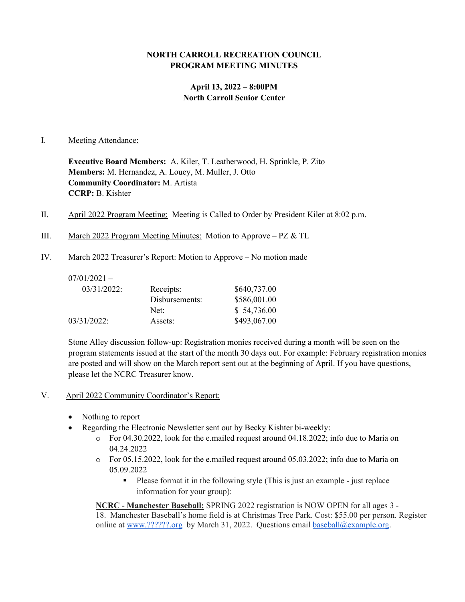## **NORTH CARROLL RECREATION COUNCIL PROGRAM MEETING MINUTES**

# **April 13, 2022 – 8:00PM North Carroll Senior Center**

#### I. Meeting Attendance:

**Executive Board Members:** A. Kiler, T. Leatherwood, H. Sprinkle, P. Zito **Members:** M. Hernandez, A. Louey, M. Muller, J. Otto **Community Coordinator:** M. Artista **CCRP:** B. Kishter

- II. April 2022 Program Meeting: Meeting is Called to Order by President Kiler at 8:02 p.m.
- III. March 2022 Program Meeting Minutes: Motion to Approve PZ & TL
- IV. March 2022 Treasurer's Report: Motion to Approve No motion made

| Receipts:      | \$640,737.00 |
|----------------|--------------|
| Disbursements: | \$586,001.00 |
| Net:           | \$54,736.00  |
| Assets:        | \$493,067.00 |
|                |              |

Stone Alley discussion follow-up: Registration monies received during a month will be seen on the program statements issued at the start of the month 30 days out. For example: February registration monies are posted and will show on the March report sent out at the beginning of April. If you have questions, please let the NCRC Treasurer know.

- V. April 2022 Community Coordinator's Report:
	- Nothing to report
	- Regarding the Electronic Newsletter sent out by Becky Kishter bi-weekly:
		- $\circ$  For 04.30.2022, look for the e.mailed request around 04.18.2022; info due to Maria on 04.24.2022
		- o For 05.15.2022, look for the e.mailed request around 05.03.2022; info due to Maria on 05.09.2022
			- Please format it in the following style (This is just an example just replace information for your group):

**NCRC - Manchester Baseball:** SPRING 2022 registration is NOW OPEN for all ages 3 - 18. Manchester Baseball's home field is at Christmas Tree Park. Cost: \$55.00 per person. Register online at [www.??????.org](http://www.mayaasports.org/) by March 31, 2022. Questions email [baseball@example.org.](mailto:baseball@example.org)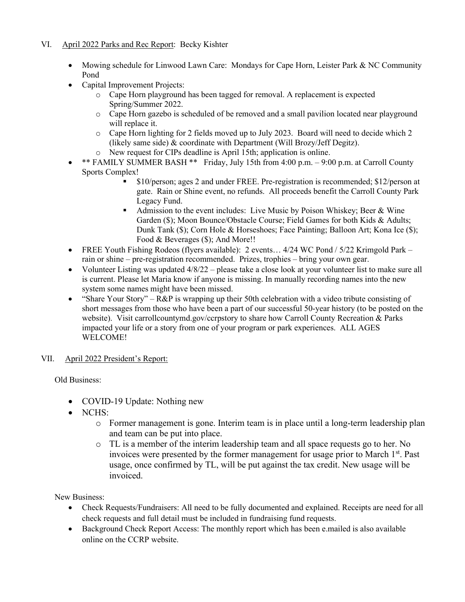# VI. April 2022 Parks and Rec Report: Becky Kishter

- Mowing schedule for Linwood Lawn Care: Mondays for Cape Horn, Leister Park & NC Community Pond
- Capital Improvement Projects:
	- o Cape Horn playground has been tagged for removal. A replacement is expected Spring/Summer 2022.
	- o Cape Horn gazebo is scheduled of be removed and a small pavilion located near playground will replace it.
	- o Cape Horn lighting for 2 fields moved up to July 2023. Board will need to decide which 2 (likely same side) & coordinate with Department (Will Brozy/Jeff Degitz).
	- o New request for CIPs deadline is April 15th; application is online.
- \*\* FAMILY SUMMER BASH \*\* Friday, July 15th from 4:00 p.m. 9:00 p.m. at Carroll County Sports Complex!
	- \$10/person; ages 2 and under FREE. Pre-registration is recommended; \$12/person at gate. Rain or Shine event, no refunds. All proceeds benefit the Carroll County Park Legacy Fund.
	- Admission to the event includes: Live Music by Poison Whiskey; Beer & Wine Garden (\$); Moon Bounce/Obstacle Course; Field Games for both Kids & Adults; Dunk Tank (\$); Corn Hole & Horseshoes; Face Painting; Balloon Art; Kona Ice (\$); Food & Beverages (\$); And More!!
- FREE Youth Fishing Rodeos (flyers available): 2 events... 4/24 WC Pond / 5/22 Krimgold Park rain or shine – pre-registration recommended. Prizes, trophies – bring your own gear.
- Volunteer Listing was updated  $4/8/22$  please take a close look at your volunteer list to make sure all is current. Please let Maria know if anyone is missing. In manually recording names into the new system some names might have been missed.
- "Share Your Story"  $R\&P$  is wrapping up their 50th celebration with a video tribute consisting of short messages from those who have been a part of our successful 50-year history (to be posted on the website). Visit carrollcountymd.gov/ccrpstory to share how Carroll County Recreation & Parks impacted your life or a story from one of your program or park experiences. ALL AGES WELCOME!
- VII. April 2022 President's Report:

Old Business:

- COVID-19 Update: Nothing new
- NCHS:
	- o Former management is gone. Interim team is in place until a long-term leadership plan and team can be put into place.
	- o TL is a member of the interim leadership team and all space requests go to her. No invoices were presented by the former management for usage prior to March 1<sup>st</sup>. Past usage, once confirmed by TL, will be put against the tax credit. New usage will be invoiced.

New Business:

- Check Requests/Fundraisers: All need to be fully documented and explained. Receipts are need for all check requests and full detail must be included in fundraising fund requests.
- Background Check Report Access: The monthly report which has been e.mailed is also available online on the CCRP website.